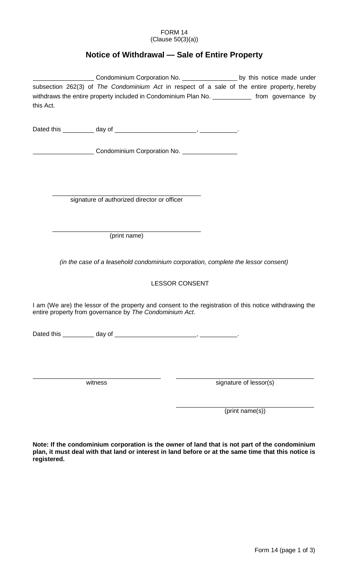## FORM 14 (Clause 50(3)(a))

## **Notice of Withdrawal — Sale of Entire Property**

|           | Condominium Corporation No. _______________________ by this notice made under                           |                        |
|-----------|---------------------------------------------------------------------------------------------------------|------------------------|
|           | subsection 262(3) of The Condominium Act in respect of a sale of the entire property, hereby            |                        |
|           | withdraws the entire property included in Condominium Plan No. ______________ from governance by        |                        |
| this Act. |                                                                                                         |                        |
|           |                                                                                                         |                        |
|           |                                                                                                         |                        |
|           |                                                                                                         |                        |
|           | Condominium Corporation No. 1996 1997 - Condominium Corporation No.                                     |                        |
|           |                                                                                                         |                        |
|           |                                                                                                         |                        |
|           |                                                                                                         |                        |
|           | signature of authorized director or officer                                                             |                        |
|           |                                                                                                         |                        |
|           |                                                                                                         |                        |
|           |                                                                                                         |                        |
|           | (print name)                                                                                            |                        |
|           |                                                                                                         |                        |
|           | (in the case of a leasehold condominium corporation, complete the lessor consent)                       |                        |
|           |                                                                                                         |                        |
|           | <b>LESSOR CONSENT</b>                                                                                   |                        |
|           |                                                                                                         |                        |
|           | I am (We are) the lessor of the property and consent to the registration of this notice withdrawing the |                        |
|           | entire property from governance by The Condominium Act.                                                 |                        |
|           |                                                                                                         |                        |
|           |                                                                                                         |                        |
|           |                                                                                                         |                        |
|           |                                                                                                         |                        |
|           |                                                                                                         |                        |
|           | witness                                                                                                 | signature of lessor(s) |
|           |                                                                                                         |                        |
|           |                                                                                                         |                        |

**Note: If the condominium corporation is the owner of land that is not part of the condominium plan, it must deal with that land or interest in land before or at the same time that this notice is registered.** 

(print name(s))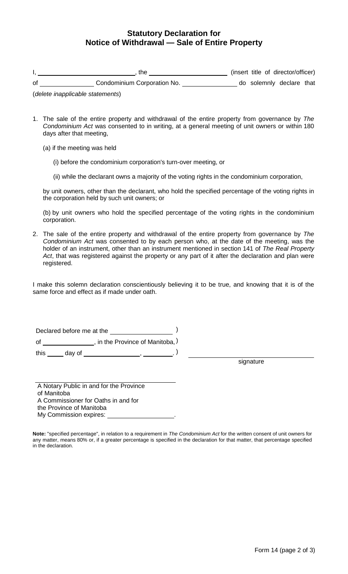## **Statutory Declaration for Notice of Withdrawal — Sale of Entire Property**

|    | the                         | (insert title of director/officer) |  |
|----|-----------------------------|------------------------------------|--|
| 0f | Condominium Corporation No. | do solemnly declare that           |  |

(*delete inapplicable statements*)

- 1. The sale of the entire property and withdrawal of the entire property from governance by *The Condominium Act* was consented to in writing, at a general meeting of unit owners or within 180 days after that meeting,
	- (a) if the meeting was held
		- (i) before the condominium corporation's turn-over meeting, or
		- (ii) while the declarant owns a majority of the voting rights in the condominium corporation,

by unit owners, other than the declarant, who hold the specified percentage of the voting rights in the corporation held by such unit owners; or

(b) by unit owners who hold the specified percentage of the voting rights in the condominium corporation.

2. The sale of the entire property and withdrawal of the entire property from governance by *The Condominium Act* was consented to by each person who, at the date of the meeting, was the holder of an instrument, other than an instrument mentioned in section 141 of *The Real Property Act*, that was registered against the property or any part of it after the declaration and plan were registered.

I make this solemn declaration conscientiously believing it to be true, and knowing that it is of the same force and effect as if made under oath.

Declared before me at the  $($ of \_\_\_\_\_\_\_\_\_\_\_\_\_\_\_\_\_, in the Province of Manitoba,  $\big)$ this \_\_\_\_\_ day of \_\_\_\_\_\_\_\_\_\_\_\_\_\_\_\_\_\_\_\_\_\_, \_\_\_\_\_\_\_\_\_. )

signature

A Notary Public in and for the Province of Manitoba A Commissioner for Oaths in and for the Province of Manitoba My Commission expires:

**Note:** "specified percentage", in relation to a requirement in *The Condominium Act* for the written consent of unit owners for any matter, means 80% or, if a greater percentage is specified in the declaration for that matter, that percentage specified in the declaration.